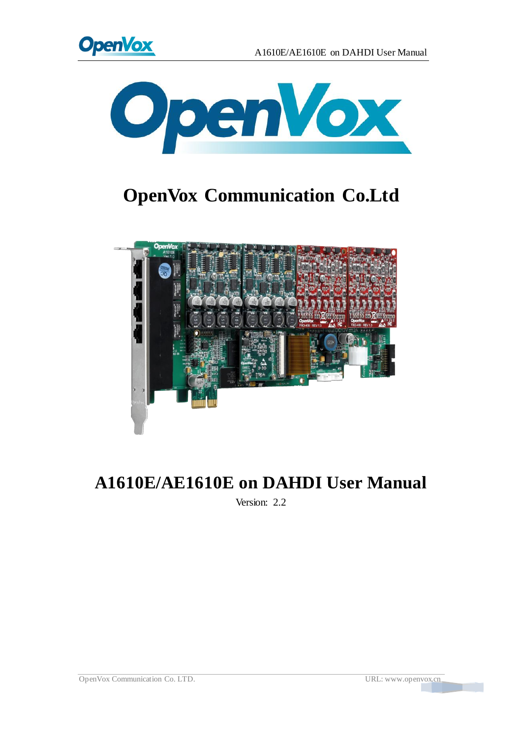



# **OpenVox Communication Co.Ltd**



# **A1610E/AE1610E on DAHDI User Manual**

Version: 2.2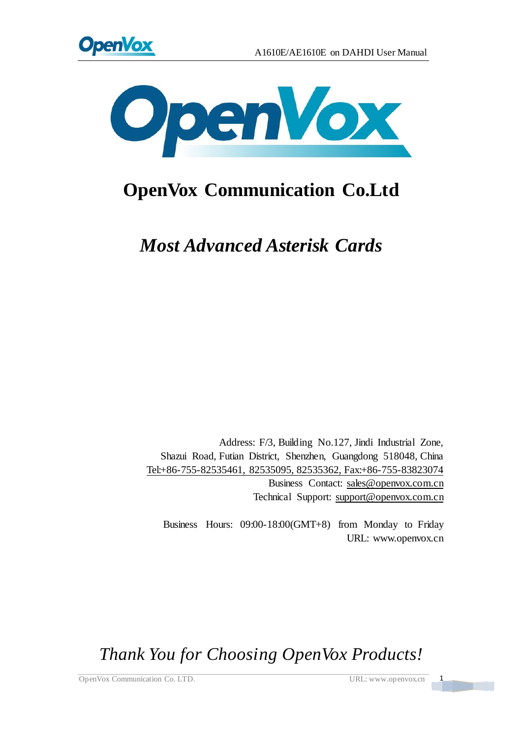



# **OpenVox Communication Co.Ltd**

*Most Advanced Asterisk Cards*

Address: F/3, Building No.127, Jindi Industrial Zone, Shazui Road, Futian District, Shenzhen, Guangdong 518048, China Tel:+86-755-82535461, 82535095, 82535362, Fax:+86-755-83823074 Business Contact: sales@openvox.com.cn Technical Support[: support@openvox.com.cn](mailto:support@openvox.com.cn)

Business Hours: 09:00-18:00(GMT+8) from Monday to Friday URL: www.openvox.cn

*Thank You for Choosing OpenVox Products!*

OpenVox Communication Co. LTD. URL: www.openvox.cn 1

 $\frac{1}{\sqrt{2}}$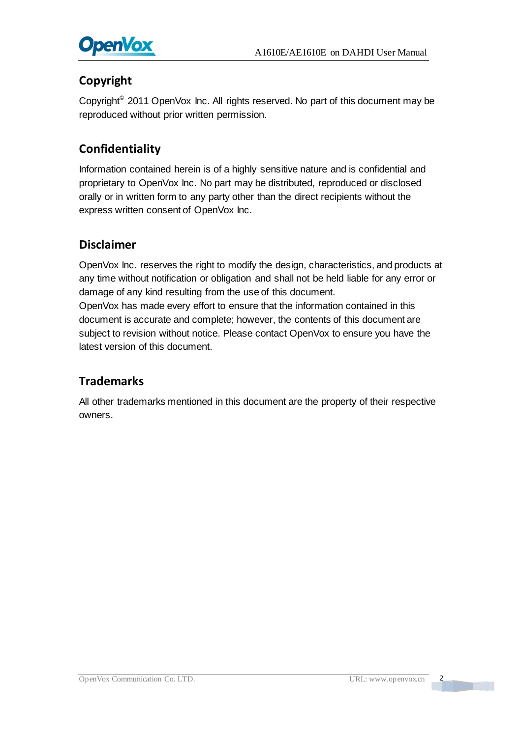

### **Copyright**

Copyright<sup>©</sup> 2011 OpenVox Inc. All rights reserved. No part of this document may be reproduced without prior written permission.

### **Confidentiality**

Information contained herein is of a highly sensitive nature and is confidential and proprietary to OpenVox Inc. No part may be distributed, reproduced or disclosed orally or in written form to any party other than the direct recipients without the express written consent of OpenVox Inc.

#### **Disclaimer**

OpenVox Inc. reserves the right to modify the design, characteristics, and products at any time without notification or obligation and shall not be held liable for any error or damage of any kind resulting from the use of this document.

OpenVox has made every effort to ensure that the information contained in this document is accurate and complete; however, the contents of this document are subject to revision without notice. Please contact OpenVox to ensure you have the latest version of this document.

#### **Trademarks**

All other trademarks mentioned in this document are the property of their respective owners.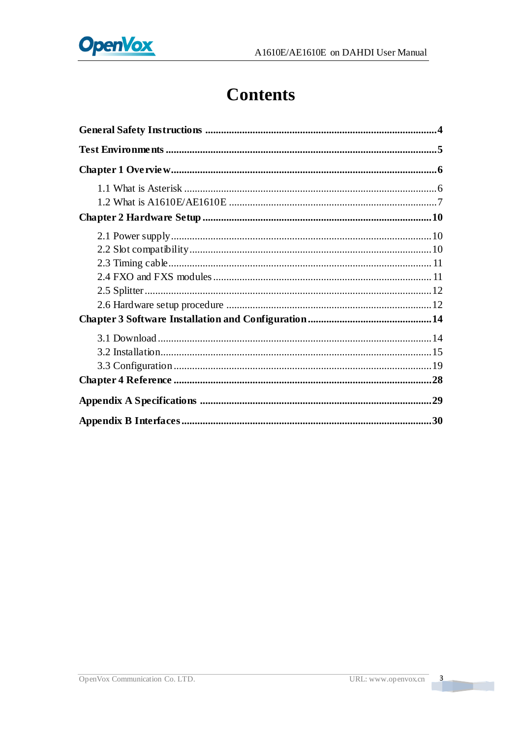

# **Contents**

 $\overline{\phantom{a}}$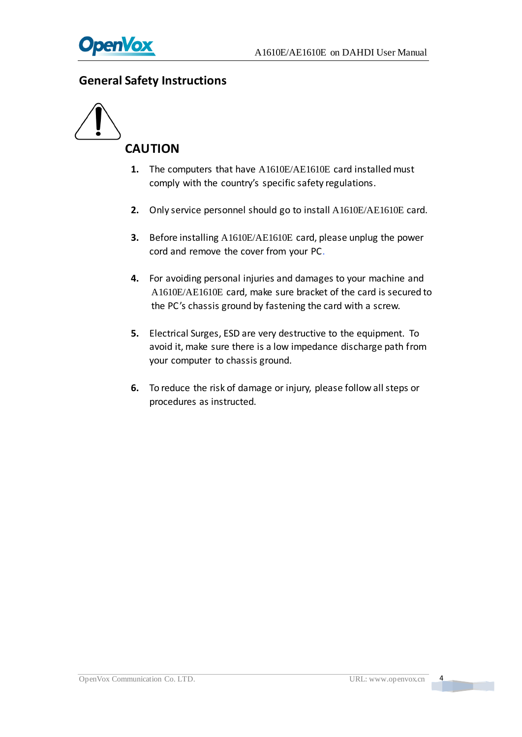

#### <span id="page-4-0"></span>**General Safety Instructions**



- **1.** The computers that have A1610E/AE1610E card installed must comply with the country's specific safety regulations.
- **2.** Only service personnel should go to install A1610E/AE1610E card.
- **3.** Before installing A1610E/AE1610E card, please unplug the power cord and remove the cover from your PC.
- **4.** For avoiding personal injuries and damages to your machine and A1610E/AE1610E card, make sure bracket of the card is secured to the PC's chassis ground by fastening the card with a screw.
- **5.** Electrical Surges, ESD are very destructive to the equipment. To avoid it, make sure there is a low impedance discharge path from your computer to chassis ground.
- **6.** To reduce the risk of damage or injury, please follow all steps or procedures as instructed.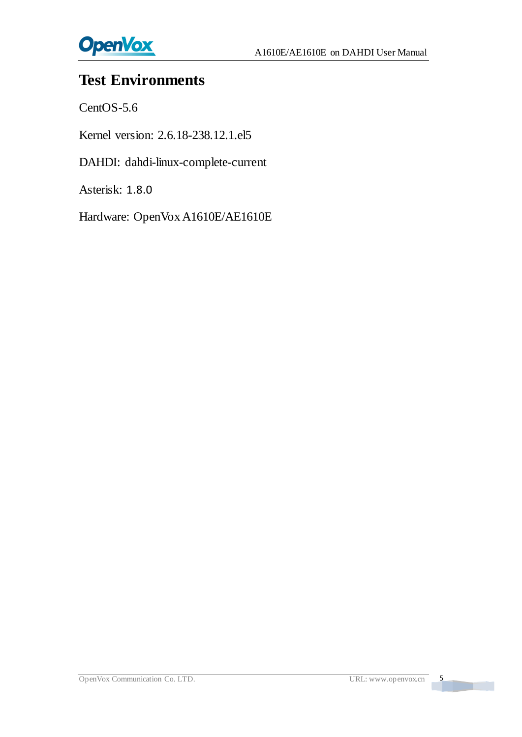

## <span id="page-5-0"></span>**Test Environments**

CentOS-5.6

Kernel version: 2.6.18-238.12.1.el5

DAHDI: dahdi-linux-complete-current

Asterisk: 1.8.0

Hardware: OpenVox A1610E/AE1610E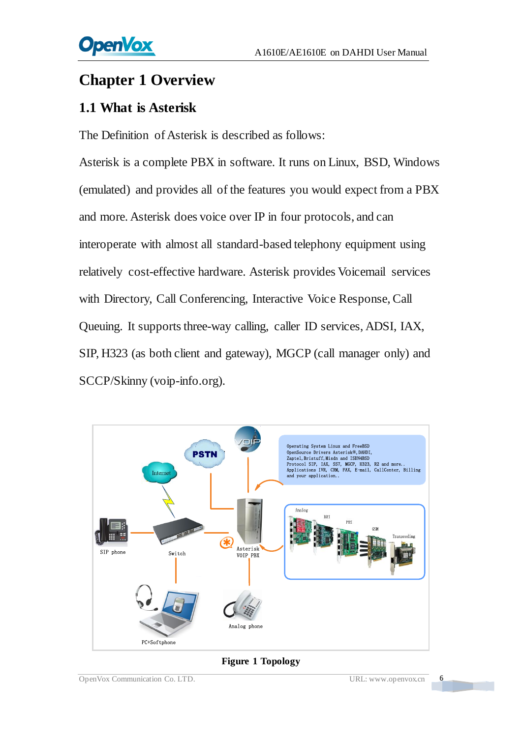## <span id="page-6-0"></span>**Chapter 1 Overview**

## <span id="page-6-1"></span>**1.1 What is Asterisk**

The Definition of Asterisk is described as follows:

Asterisk is a complete PBX in software. It runs on Linux, BSD, Windows (emulated) and provides all of the features you would expect from a PBX and more. Asterisk does voice over IP in four protocols, and can interoperate with almost all standard-based telephony equipment using relatively cost-effective hardware. Asterisk provides Voicemail services with Directory, Call Conferencing, Interactive Voice Response, Call Queuing. It supports three-way calling, caller ID services, ADSI, IAX, SIP, H323 (as both client and gateway), MGCP (call manager only) and SCCP/Skinny (voip-info.org).



**Figure 1 Topology**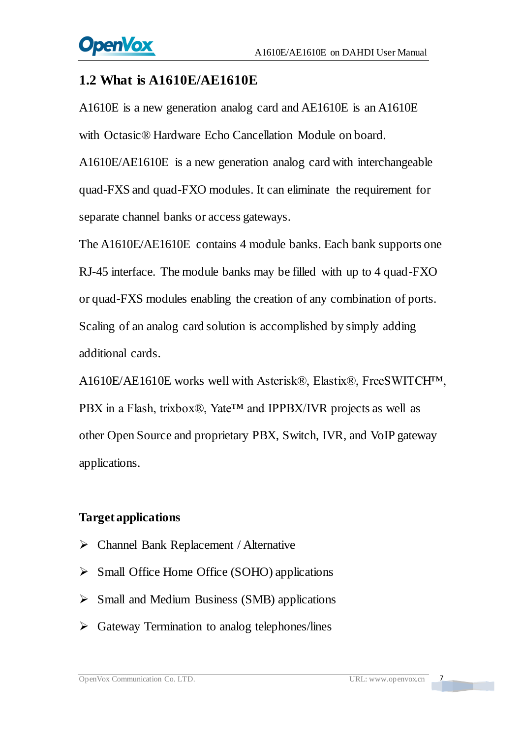#### <span id="page-7-0"></span>**1.2 What is A1610E/AE1610E**

A1610E is a new generation analog card and AE1610E is an A1610E with Octasic® Hardware Echo Cancellation Module on board.

A1610E/AE1610E is a new generation analog card with interchangeable quad-FXS and quad-FXO modules. It can eliminate the requirement for separate channel banks or access gateways.

The A1610E/AE1610E contains 4 module banks. Each bank supports one RJ-45 interface. The module banks may be filled with up to 4 quad-FXO or quad-FXS modules enabling the creation of any combination of ports. Scaling of an analog card solution is accomplished by simply adding additional cards.

A1610E/AE1610E works well with Asterisk®, Elastix®, FreeSWITCH™, PBX in a Flash, trixbox®, Yate<sup>™</sup> and IPPBX/IVR projects as well as other Open Source and proprietary PBX, Switch, IVR, and VoIP gateway applications.

#### **Target applications**

- Channel Bank Replacement / Alternative
- $\triangleright$  Small Office Home Office (SOHO) applications
- $\triangleright$  Small and Medium Business (SMB) applications
- $\triangleright$  Gateway Termination to analog telephones/lines

 $\frac{7}{1}$ 

a barat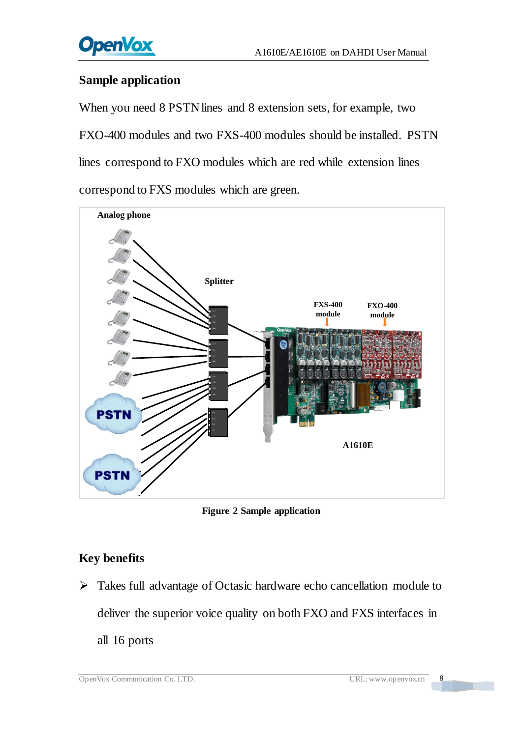

#### **Sample application**

When you need 8 PSTN lines and 8 extension sets, for example, two FXO-400 modules and two FXS-400 modules should be installed. PSTN lines correspond to FXO modules which are red while extension lines correspond to FXS modules which are green.



**Figure 2 Sample application**

#### **Key benefits**

 Takes full advantage of Octasic hardware echo cancellation module to deliver the superior voice quality on both FXO and FXS interfaces in all 16 ports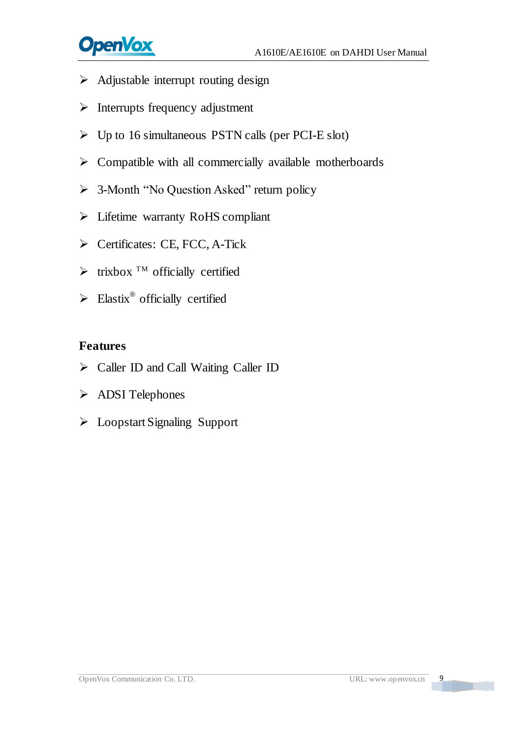# **OpenVox**

- $\triangleright$  Adjustable interrupt routing design
- $\triangleright$  Interrupts frequency adjustment
- $\triangleright$  Up to 16 simultaneous PSTN calls (per PCI-E slot)
- $\triangleright$  Compatible with all commercially available motherboards
- $\geq$  3-Month "No Question Asked" return policy
- Lifetime warranty RoHS compliant
- $\triangleright$  Certificates: CE, FCC, A-Tick
- $\blacktriangleright$  trixbox <sup>TM</sup> officially certified
- $\triangleright$  Elastix<sup>®</sup> officially certified

#### **Features**

- Caller ID and Call Waiting Caller ID
- > ADSI Telephones
- Loopstart Signaling Support

 $\overline{9}$ 

**The Company**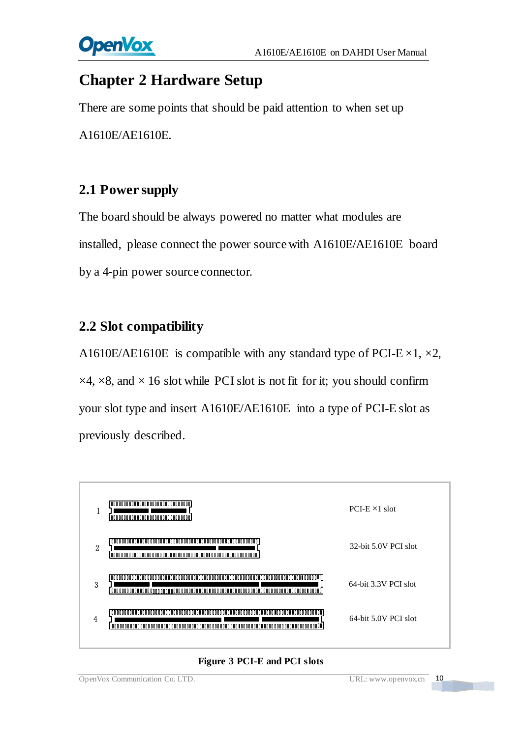

## <span id="page-10-0"></span>**Chapter 2 Hardware Setup**

There are some points that should be paid attention to when set up A1610E/AE1610E.

## <span id="page-10-1"></span>**2.1 Power supply**

The board should be always powered no matter what modules are installed, please connect the power source with A1610E/AE1610E board by a 4-pin power source connector.

## <span id="page-10-2"></span>**2.2 Slot compatibility**

A1610E/AE1610E is compatible with any standard type of PCI-E  $\times$ 1,  $\times$ 2,  $\times$ 4,  $\times$ 8, and  $\times$  16 slot while PCI slot is not fit for it; you should confirm your slot type and insert A1610E/AE1610E into a type of PCI-E slot as previously described.



#### **Figure 3 PCI-E and PCI slots**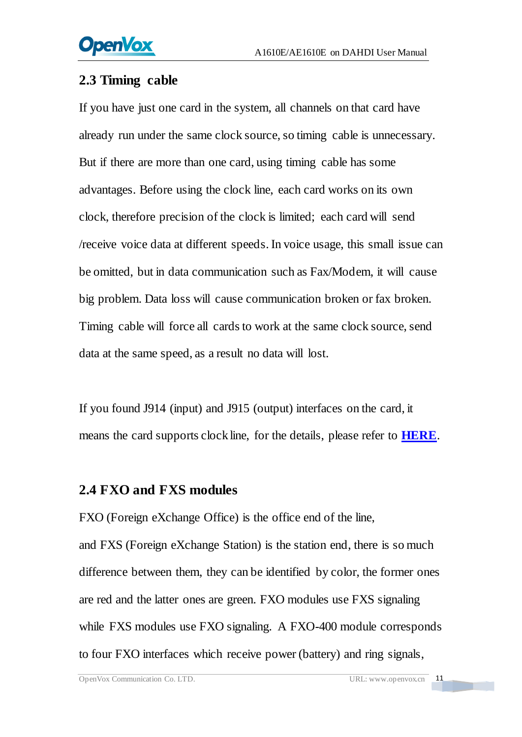## <span id="page-11-0"></span>**2.3 Timing cable**

If you have just one card in the system, all channels on that card have already run under the same clock source, so timing cable is unnecessary. But if there are more than one card, using timing cable has some advantages. Before using the clock line, each card works on its own clock, therefore precision of the clock is limited; each card will send /receive voice data at different speeds. In voice usage, this small issue can be omitted, but in data communication such as Fax/Modem, it will cause big problem. Data loss will cause communication broken or fax broken. Timing cable will force all cards to work at the same clock source, send data at the same speed, as a result no data will lost.

If you found J914 (input) and J915 (output) interfaces on the card, it means the card supports clock line, for the details, please refer to **[HERE](http://bbs.openvox.cn/viewthread.php?tid=874&extra=page%3D1)**.

## <span id="page-11-1"></span>**2.4 FXO and FXS modules**

FXO (Foreign eXchange Office) is the office end of the line, and [FXS](http://www.voip-info.org/wiki/view/FXS) (Foreign eXchange Station) is the station end, there is so much difference between them, they can be identified by color, the former ones are red and the latter ones are green. FXO modules use FXS signaling while FXS modules use FXO signaling. A FXO-400 module corresponds to four FXO interfaces which receive power (battery) and ring signals,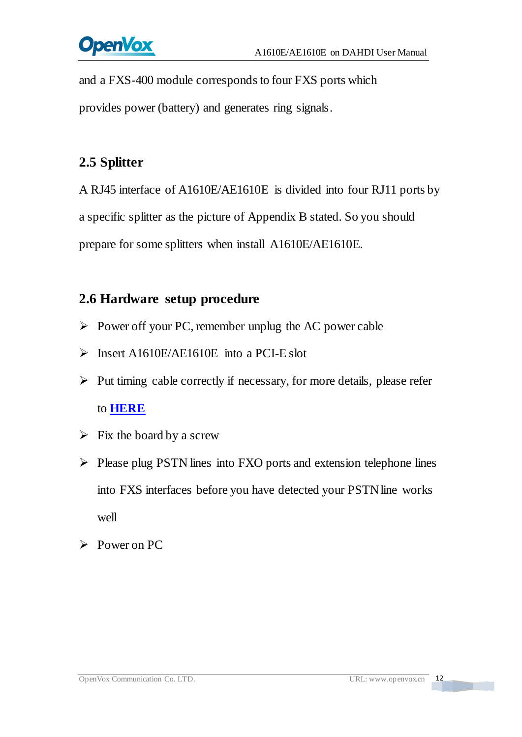and a FXS-400 module corresponds to four FXS ports which provides power (battery) and generates ring signals.

## <span id="page-12-0"></span>**2.5 Splitter**

A RJ45 interface of A1610E/AE1610E is divided into four RJ11 ports by a specific splitter as the picture of Appendix B stated. So you should prepare for some splitters when install A1610E/AE1610E.

## <span id="page-12-1"></span>**2.6 Hardware setup procedure**

- $\triangleright$  Power off your PC, remember unplug the AC power cable
- $\triangleright$  Insert A1610E/AE1610E into a PCI-E slot
- $\triangleright$  Put timing cable correctly if necessary, for more details, please refer to **[HERE](http://bbs.openvox.cn/viewthread.php?tid=874&extra=page%3D1)**
- $\triangleright$  Fix the board by a screw
- $\triangleright$  Please plug PSTN lines into FXO ports and extension telephone lines into FXS interfaces before you have detected your PSTN line works well
- Power on PC

n Tar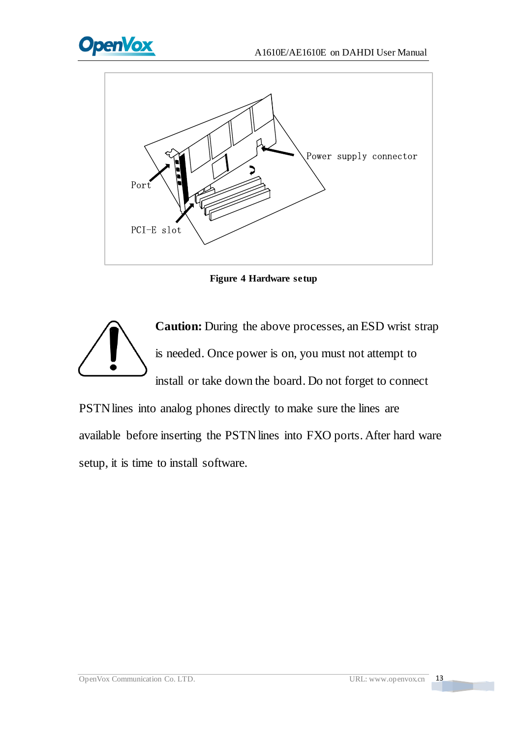



**Figure 4 Hardware setup**



PSTN lines into analog phones directly to make sure the lines are available before inserting the PSTN lines into FXO ports. After hard ware setup, it is time to install software.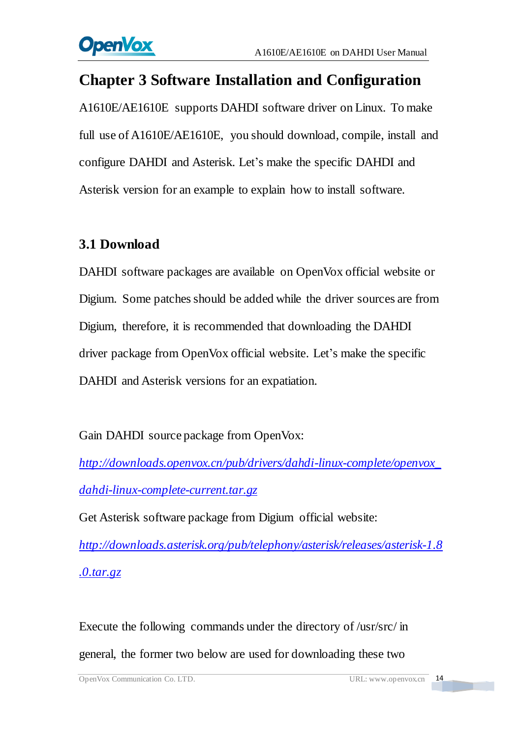## <span id="page-14-0"></span>**Chapter 3 Software Installation and Configuration**

A1610E/AE1610E supports DAHDI software driver on Linux. To make full use of A1610E/AE1610E, you should download, compile, install and configure DAHDI and Asterisk. Let's make the specific DAHDI and Asterisk version for an example to explain how to install software.

## <span id="page-14-1"></span>**3.1 Download**

DAHDI software packages are available on OpenVox official website or Digium. Some patches should be added while the driver sources are from Digium, therefore, it is recommended that downloading the DAHDI driver package from OpenVox official website. Let's make the specific DAHDI and Asterisk versions for an expatiation.

Gain DAHDI source package from OpenVox:

*[http://downloads.openvox.cn/pub/drivers/dahdi-linux-complete/openvox\\_](http://downloads.openvox.cn/pub/drivers/dahdi-linux-complete/openvox_dahdi-linux-complete-current.tar.gz) [dahdi-linux-complete-current.tar.gz](http://downloads.openvox.cn/pub/drivers/dahdi-linux-complete/openvox_dahdi-linux-complete-current.tar.gz)*

Get Asterisk software package from Digium official website:

*[http://downloads.asterisk.org/pub/telephony/asterisk/releases/a](http://downloads.asterisk.org/pub/telephony/asterisk/releases/)sterisk-1.8 .0.tar.gz*

Execute the following commands under the directory of /usr/src/ in general, the former two below are used for downloading these two

a sa Ta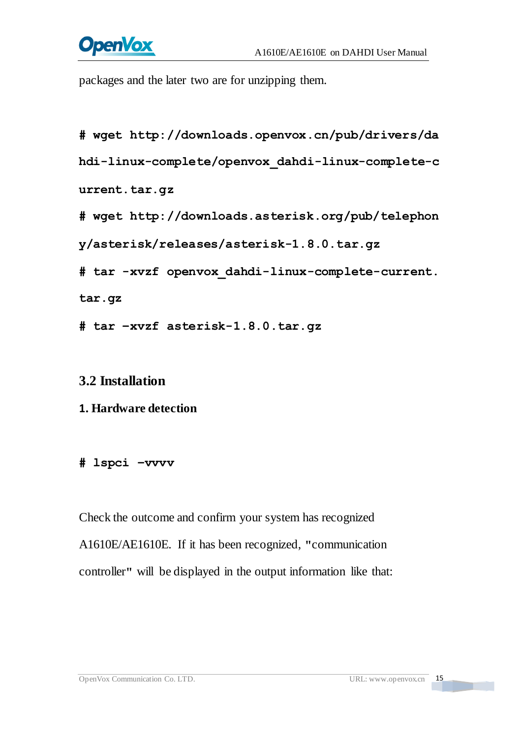# **OpenVox**

packages and the later two are for unzipping them.

```
#_wget_http://downloads.openvox.cn/pub/drivers/da
hdi-linux-complete/openvox_dahdi-linux-complete-c
urrent.tar.gz
#_wget_http://downloads.asterisk.org/pub/telephon
y/asterisk/releases/asterisk-1.8.0.tar.gz
#_tar_-xvzf_openvox_dahdi-linux-complete-current.
tar.gz
# tar –xvzf asterisk-1.8.0.tar.gz
```
#### <span id="page-15-0"></span>**3.2 Installation**

#### **1. Hardware detection**

#### **# lspci –vvvv**

Check the outcome and confirm your system has recognized A1610E/AE1610E. If it has been recognized, **"**communication controller**"** will be displayed in the output information like that: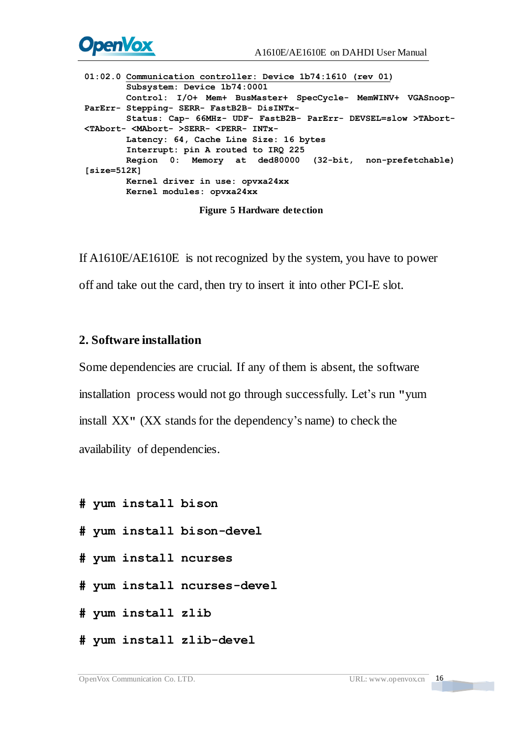

**01:02.0 Communication controller: Device 1b74:1610 (rev 01) Subsystem: Device 1b74:0001 Control: I/O+ Mem+ BusMaster+ SpecCycle- MemWINV+ VGASnoop- ParErr- Stepping- SERR- FastB2B- DisINTx- Status: Cap- 66MHz- UDF- FastB2B- ParErr- DEVSEL=slow >TAbort- <TAbort- <MAbort- >SERR- <PERR- INTx- Latency: 64, Cache Line Size: 16 bytes Interrupt: pin A routed to IRQ 225 Region 0: Memory at ded80000 (32-bit, non-prefetchable) [size=512K] Kernel driver in use: opvxa24xx Kernel modules: opvxa24xx**

**Figure 5 Hardware detection**

If A1610E/AE1610E is not recognized by the system, you have to power off and take out the card, then try to insert it into other PCI-E slot.

#### **2. Software installation**

Some dependencies are crucial. If any of them is absent, the software installation process would not go through successfully. Let's run **"**yum install XX**"** (XX stands for the dependency's name) to check the availability of dependencies.

- **# yum install bison**
- **# yum install bison-devel**
- **# yum install ncurses**
- **# yum install ncurses-devel**
- **# yum install zlib**
- **# yum install zlib-devel**

**The Company**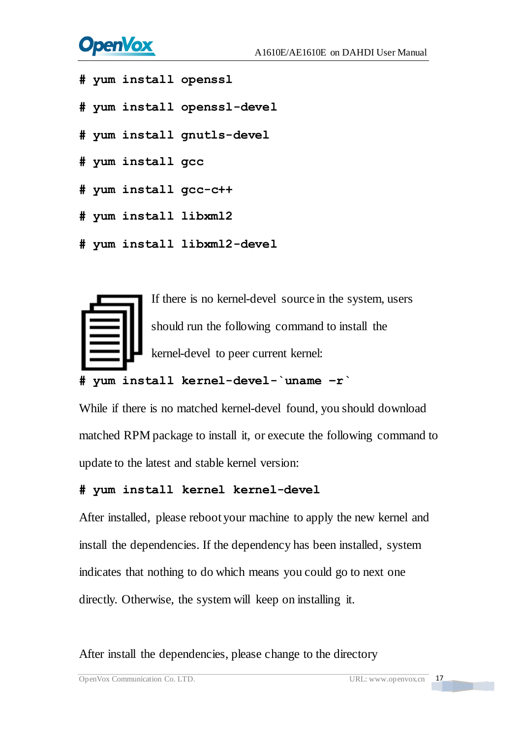# **OpenVox**

- **# yum install openssl**
- **# yum install openssl-devel**
- **# yum install gnutls-devel**
- **# yum install gcc**
- **# yum install gcc-c++**
- **# yum install libxml2**
- **# yum install libxml2-devel**



#### **# yum install kernel-devel-`uname –r`**

While if there is no matched kernel-devel found, you should download matched RPM package to install it, or execute the following command to update to the latest and stable kernel version:

#### **# yum install kernel kernel-devel**

After installed, please reboot your machine to apply the new kernel and install the dependencies. If the dependency has been installed, system indicates that nothing to do which means you could go to next one directly. Otherwise, the system will keep on installing it.

After install the dependencies, please change to the directory

OpenVox Communication Co. LTD. URL: www.openvox.cn 17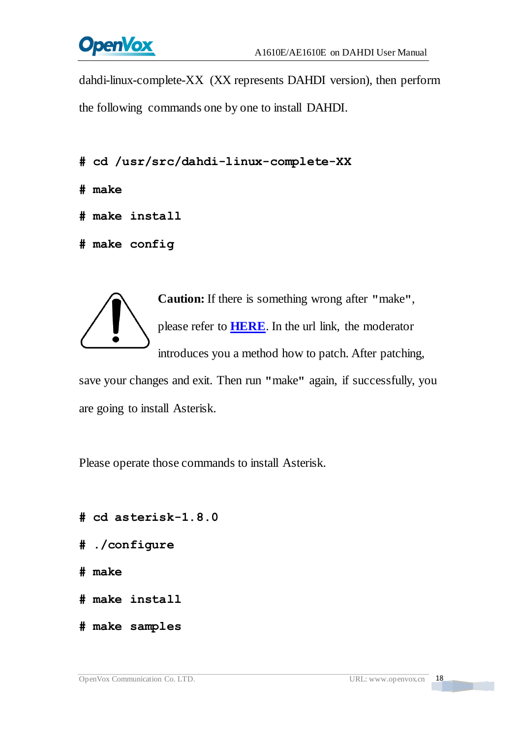

dahdi-linux-complete-XX (XX represents DAHDI version), then perform the following commands one by one to install DAHDI.

- **# cd /usr/src/dahdi-linux-complete-XX**
- **# make**
- **# make install**
- **# make config**



**Caution:** If there is something wrong after **"**make**"**, please refer to **[HERE](http://bbs.openvox.cn/viewthread.php?tid=1557&extra=page%3D1)**. In the url link, the moderator introduces you a method how to patch. After patching,

save your changes and exit. Then run **"**make**"** again, if successfully, you are going to install Asterisk.

Please operate those commands to install Asterisk.

- **# cd asterisk-1.8.0**
- **# ./configure**
- **# make**
- **# make install**
- **# make samples**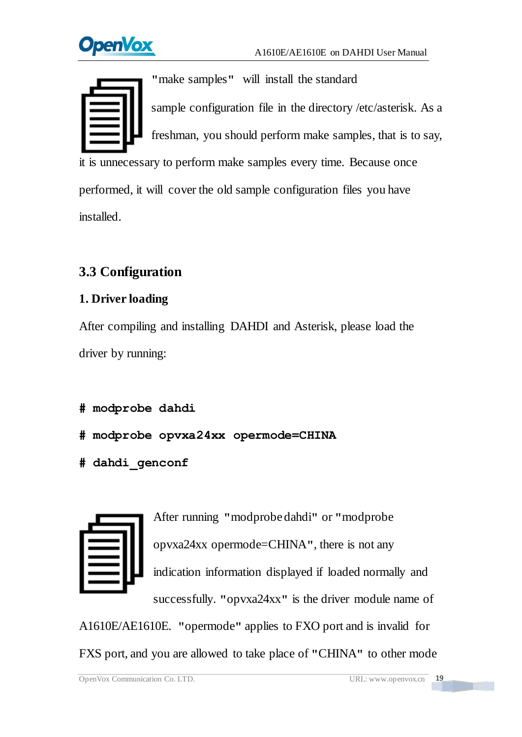**penVox** 



installed.

**"**make samples**"** will install the standard sample [configuration](http://www.voip-info.org/wiki/view/Asterisk+config+files) file in the directory /etc/asterisk. As a freshman, you should perform make samples, that is to say, it is unnecessary to perform make samples every time. Because once performed, it will cover the old sample configuration files you have

## <span id="page-19-0"></span>**3.3 Configuration**

### **1. Driver loading**

After compiling and installing DAHDI and Asterisk, please load the driver by running:

```
# modprobe dahdi
```
- **# modprobe opvxa24xx opermode=CHINA**
- **# dahdi\_genconf**



After running **"**modprobe dahdi**"** or **"**modprobe opvxa24xx opermode=CHINA**"**, there is not any indication information displayed if loaded normally and successfully. **"**opvxa24xx**"** is the driver module name of

A1610E/AE1610E. **"**opermode**"** applies to FXO port and is invalid for FXS port, and you are allowed to take place of **"**CHINA**"** to other mode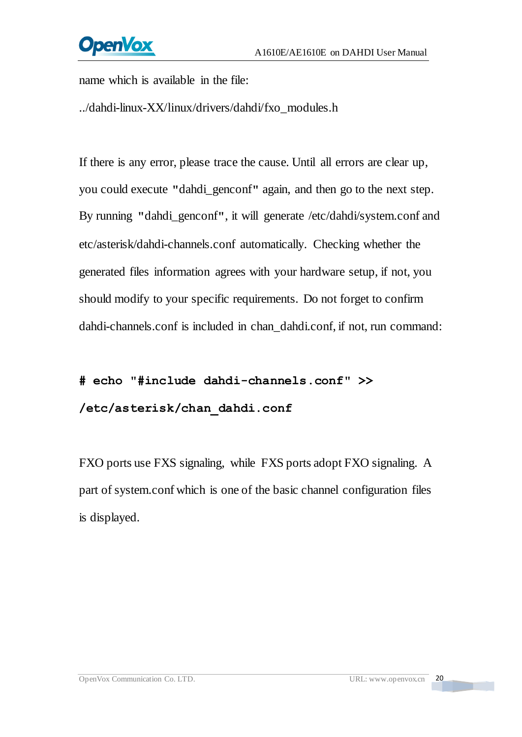name which is available in the file:

../dahdi-linux-XX/linux/drivers/dahdi/fxo\_modules.h

If there is any error, please trace the cause. Until all errors are clear up, you could execute **"**dahdi\_genconf**"** again, and then go to the next step. By running **"**dahdi\_genconf**"**, it will generate /etc/dahdi/system.conf and etc/asterisk/dahdi-channels.conf automatically. Checking whether the generated files information agrees with your hardware setup, if not, you should modify to your specific requirements. Do not forget to confirm dahdi-channels.conf is included in chan\_dahdi.conf, if not, run command:

# **# echo "#include dahdi-channels.conf" >> /etc/asterisk/chan\_dahdi.conf**

FXO ports use FXS signaling, while FXS ports adopt FXO signaling. A part of system.conf which is one of the basic channel configuration files is displayed.

**The Contract**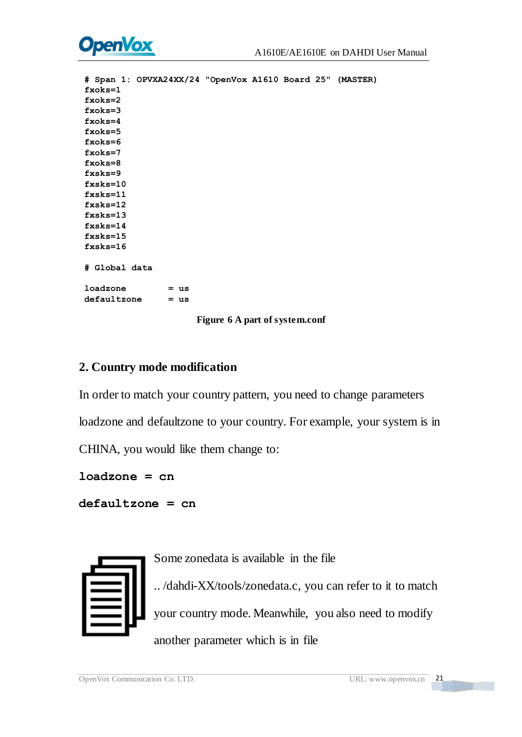

```
# Span 1: OPVXA24XX/24 "OpenVox A1610 Board 25" (MASTER) fxoks=1 fxoks=2 fxoks=3 fxoks=4 fxoks=5 fxoks=6 fxoks=7 fxoks=8 fxsks=9 fxsks=10 fxsks=11 fxsks=12 fxsks=13 fxsks=14 fxsks=15 fxsks=16 # Global data loadzone = us defaultzone = us
```
#### **Figure 6 A part of system.conf**

#### **2. Country mode modification**

In order to match your country pattern, you need to change parameters loadzone and defaultzone to your country. For example, your system is in CHINA, you would like them change to:

**loadzone = cn** 

**defaultzone = cn** 



Some zonedata is available in the file

.. /dahdi-XX/tools/zonedata.c, you can refer to it to match your country mode. Meanwhile, you also need to modify another parameter which is in file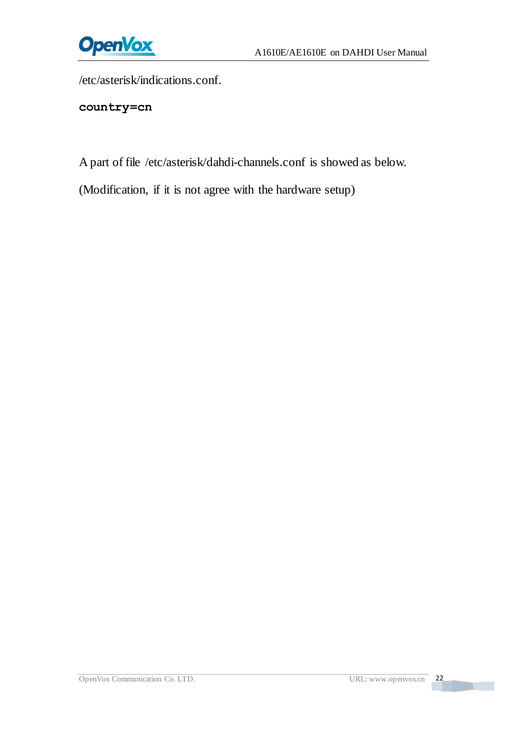

/etc/asterisk/indications.conf.

**country=cn**

A part of file /etc/asterisk/dahdi-channels.conf is showed as below.

(Modification, if it is not agree with the hardware setup)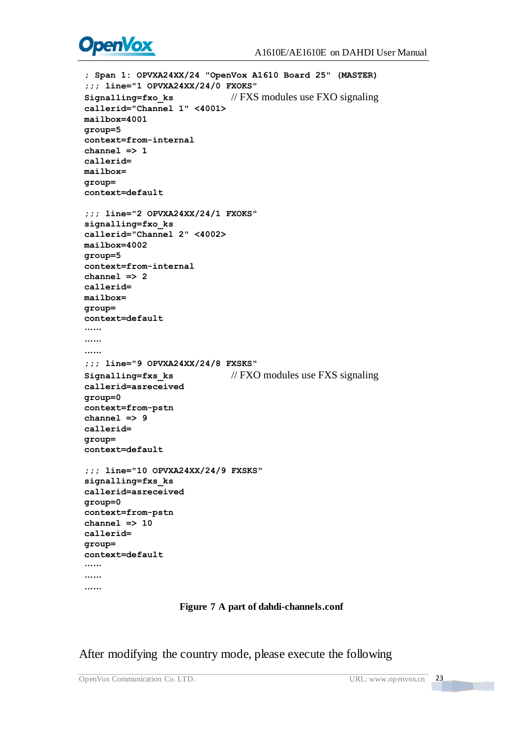

```
; Span 1: OPVXA24XX/24 "OpenVox A1610 Board 25" (MASTER) ;;; line="1 OPVXA24XX/24/0 FXOKS" Signalling=fxo ks // FXS modules use FXO signaling
callerid="Channel 1" <4001> mailbox=4001 group=5 context=from-internal channel => 1 callerid= mailbox= group= context=default ;;; line="2 OPVXA24XX/24/1 FXOKS" signalling=fxo_ks callerid="Channel 2" <4002> mailbox=4002 group=5 context=from-internal channel => 2 callerid= mailbox= group= context=default ……
……
……
;;; line="9 OPVXA24XX/24/8 FXSKS" Signalling=fxs ks // FXO modules use FXS signaling
callerid=asreceived group=0 context=from-pstn channel => 9 callerid= group= context=default ;;; line="10 OPVXA24XX/24/9 FXSKS" signalling=fxs_ks callerid=asreceived group=0 context=from-pstn channel => 10 callerid= group= context=default ……
……
……
```
#### **Figure 7 A part of dahdi-channels.conf**

After modifying the country mode, please execute the following

<u>the state</u>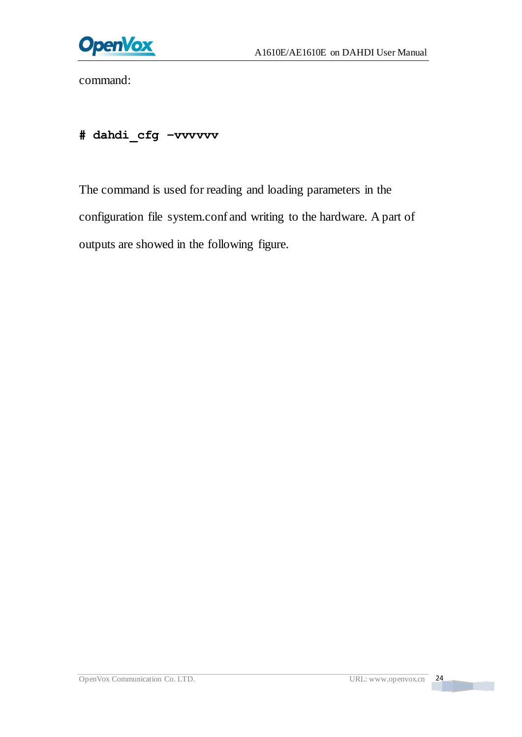

command:

## **# dahdi\_cfg –vvvvvv**

The command is used for reading and loading parameters in the configuration file system.conf and writing to the hardware. A part of outputs are showed in the following figure.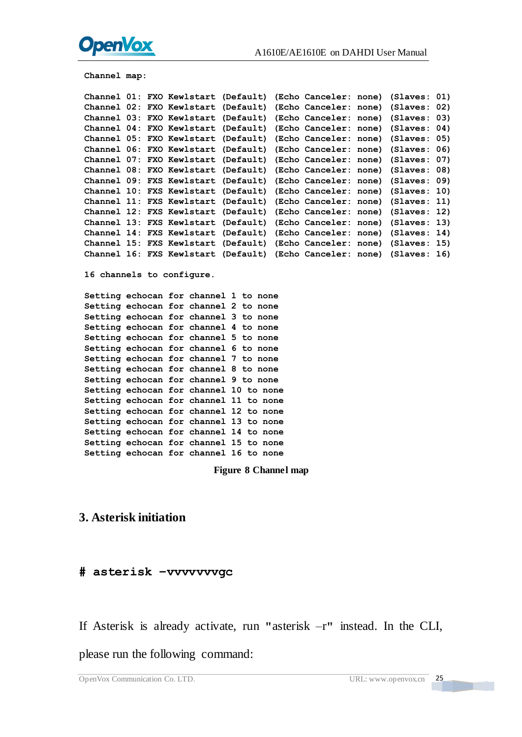

```
channel map:<br>
Channel 21: FKO Kevletter (Casfault) (Keho Canceler: none) (Slaves: 02)<br>
Channel 03: FKO Kevletter (Casfault) (Keho Canceler: none) (Slaves: 02)<br>
Channel 03: FKO Kevletter (Casfault) (Keho Canceler: none) (Sl
```
#### **3. Asterisk initiation**

#### **# asterisk –vvvvvvvgc**

If Asterisk is already activate, run **"**asterisk –r**"** instead. In the CLI,

please run the following command: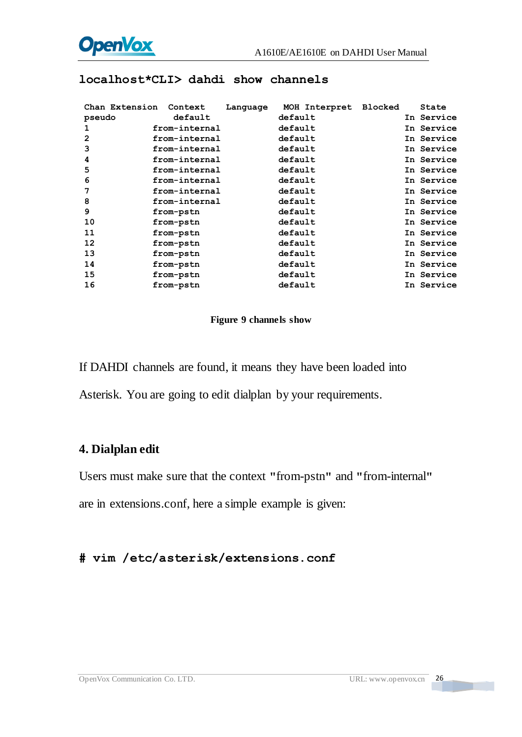

|                | Chan Extension Context | Language | MOH Interpret Blocked |  | State      |
|----------------|------------------------|----------|-----------------------|--|------------|
| pseudo         | default                |          | default               |  | In Service |
| 1              | from-internal          |          | default               |  | In Service |
| $\overline{2}$ | from-internal          |          | default               |  | In Service |
| 3              | from-internal          |          | default               |  | In Service |
| 4              | from-internal          |          | default               |  | In Service |
| 5              | from-internal          |          | default               |  | In Service |
| 6              | from-internal          |          | default               |  | In Service |
| 7              | from-internal          |          | default               |  | In Service |
| 8              | from-internal          |          | default               |  | In Service |
| 9              | from-pstn              |          | default               |  | In Service |
| 10             | from-pstn              |          | default               |  | In Service |
| 11             | from-pstn              |          | default               |  | In Service |
| 12             | from-pstn              |          | default               |  | In Service |
| 13             | from-pstn              |          | default               |  | In Service |
| 14             | from-pstn              |          | default               |  | In Service |
| 15             | from-pstn              |          | default               |  | In Service |
| 16             | from-pstn              |          | default               |  | In Service |

#### **localhost\*CLI> dahdi show channels**

#### **Figure 9 channels show**

If DAHDI channels are found, it means they have been loaded into

Asterisk. You are going to edit dialplan by your requirements.

#### **4. Dialplan edit**

Users must make sure that the context **"**from-pstn**"** and **"**from-internal**"**

are in extensions.conf, here a simple example is given:

#### **# vim /etc/asterisk/extensions.conf**

**The Contract**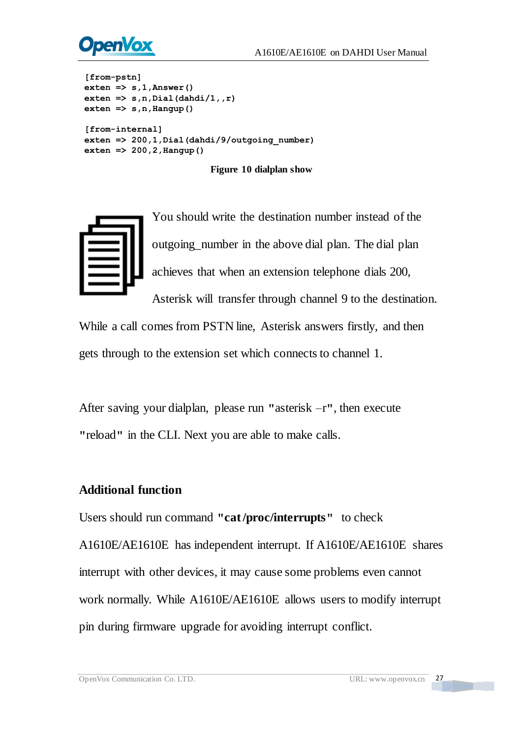

```
[from-pstn] exten => s,1,Answer() exten => s,n,Dial(dahdi/1,,r) exten => s,n,Hangup()
[from-internal] exten => 200,1,Dial(dahdi/9/outgoing_number) exten => 200,2,Hangup()
```
**Figure 10 dialplan show**



You should write the destination number instead of the outgoing\_number in the above dial plan. The dial plan achieves that when an extension telephone dials 200,

Asterisk will transfer through channel 9 to the destination.

While a call comes from PSTN line, Asterisk answers firstly, and then gets through to the extension set which connects to channel 1.

After saving your dialplan, please run **"**asterisk –r**"**, then execute **"**reload**"** in the CLI. Next you are able to make calls.

#### **Additional function**

Users should run command **"cat /proc/interrupts"** to check A1610E/AE1610E has independent interrupt. If A1610E/AE1610E shares interrupt with other devices, it may cause some problems even cannot work normally. While A1610E/AE1610E allows users to modify interrupt pin during firmware upgrade for avoiding interrupt conflict.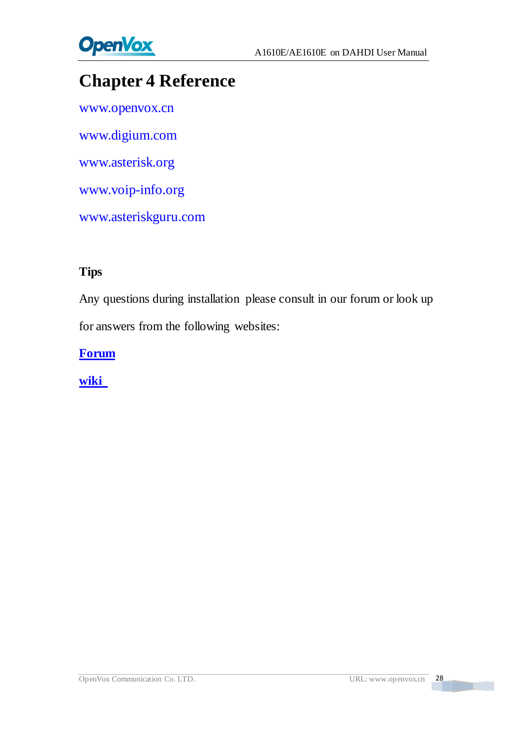

# <span id="page-28-0"></span>**Chapter 4 Reference**

[www.openvox.cn](http://www.openvox.cn/) [www.digium.com](http://www.digium.com/) [www.asterisk.org](http://www.asterisk.org/) [www.voip-info.org](http://www.voip-info.org/) [www.asteriskguru.com](http://www.asteriskguru.com/)

#### **Tips**

Any questions during installation please consult in our forum or look up for answers from the following websites:

**[Forum](http://bbs.openvox.cn/)**

**[wiki](http://wiki.openvox.cn/index.php/%E9%A6%96%E9%A1%B5)**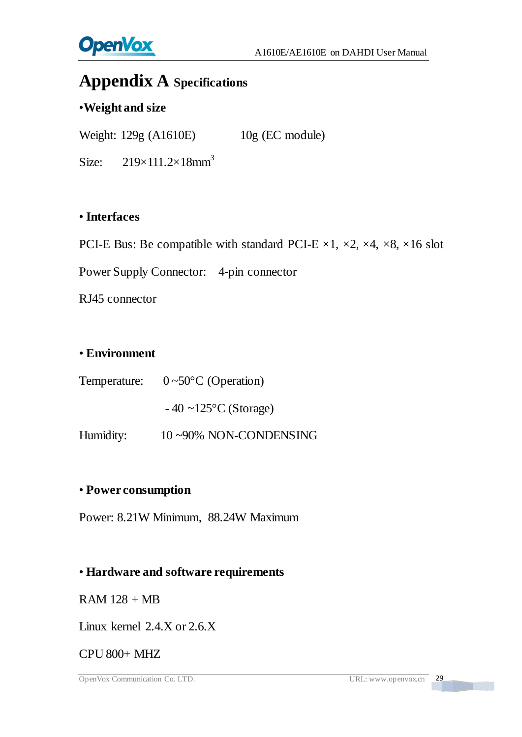

## <span id="page-29-0"></span>**Appendix A Specifications**

#### •**Weight and size**

Weight: 129g (A1610E) 10g (EC module)

Size:  $219\times111.2\times18$ mm<sup>3</sup>

#### • **Interfaces**

PCI-E Bus: Be compatible with standard PCI-E  $\times$ 1,  $\times$ 2,  $\times$ 4,  $\times$ 8,  $\times$ 16 slot

Power Supply Connector: 4-pin connector

RJ45 connector

#### • **Environment**

Temperature:  $0 \sim 50 \text{ C}$  (Operation)

 $-40$  ~125 °C (Storage)

Humidity: 10~90% NON-CONDENSING

#### • **Power consumption**

Power: 8.21W Minimum, 88.24W Maximum

#### • **Hardware and software requirements**

 $RAM 128 + MB$ 

Linux kernel 2.4.X or 2.6.X

#### CPU 800+ MHZ

OpenVox Communication Co. LTD. URL: www.openvox.cn 29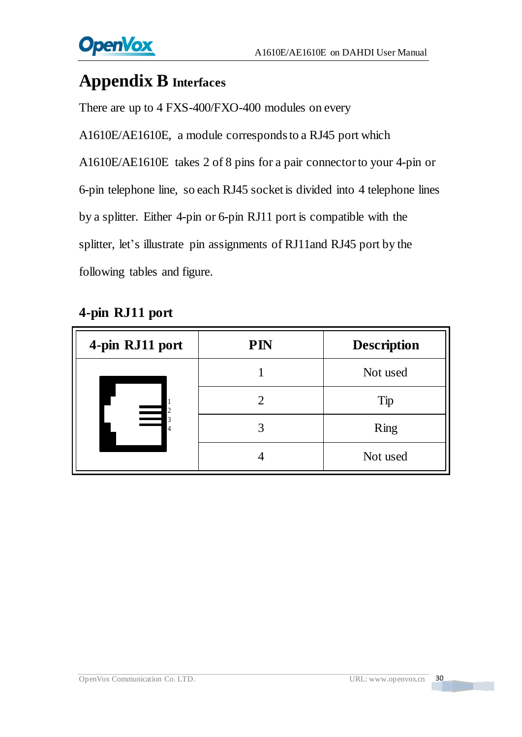

## <span id="page-30-0"></span>**Appendix B Interfaces**

There are up to 4 FXS-400/FXO-400 modules on every

A1610E/AE1610E, a module corresponds to a RJ45 port which A1610E/AE1610E takes 2 of 8 pins for a pair connectorto your 4-pin or 6-pin telephone line, so each RJ45 socket is divided into 4 telephone lines by a splitter. Either 4-pin or 6-pin RJ11 port is compatible with the splitter, let's illustrate pin assignments of RJ11and RJ45 port by the following tables and figure.

| 4-pin RJ11 port                                | <b>PIN</b> | <b>Description</b> |
|------------------------------------------------|------------|--------------------|
| $\overline{2}$<br>$\overline{\mathbf{3}}$<br>4 |            | Not used           |
|                                                |            | Tip                |
|                                                |            | Ring               |
|                                                |            | Not used           |

## **4-pin RJ11 port**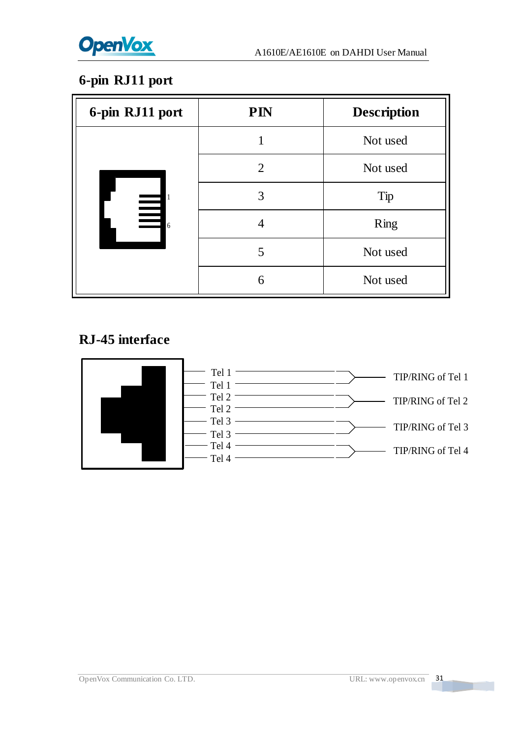

## **6-pin RJ11 port**

| 6-pin RJ11 port                             | <b>PIN</b>     | <b>Description</b> |
|---------------------------------------------|----------------|--------------------|
| 1<br>$\equiv$<br>$\equiv$<br>$\overline{6}$ |                | Not used           |
|                                             | $\overline{2}$ | Not used           |
|                                             | 3              | Tip                |
|                                             |                | Ring               |
|                                             | 5              | Not used           |
|                                             | 6              | Not used           |

## **RJ-45 interface**